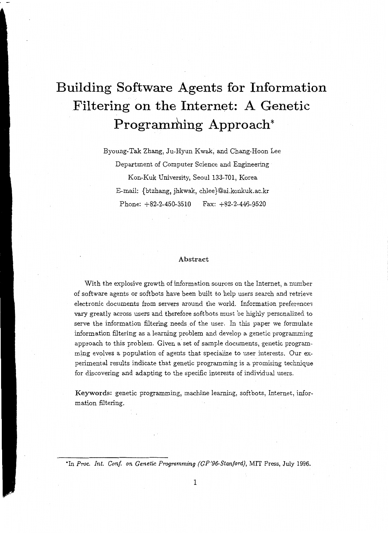# **Building Software Agents for Information Filtering on the Internet: A Genetic**  Programming Approach\*

Byoung-Tak Zhang, Ju-Hyun Kwak, and Chang-Hoon Lee Department of Computer Science and Engineering

Kon-Kuk University, Seoul 133-701, Korea E-mail: {btzhang, jhkwak, chlee }@ai.konkuk.ac.kr Phone: +82-2-450-3510 Fax: +82-2-446-9520

#### Abstract

With the explosive growth of information sources on the Internet, a number of software agents or softbots have been built to help users search and retrieve electronic documents from servers around the world. Information preferences vary greatly across users and therefore softbots must be highly personalized to serve the information filtering needs of the user. In this paper we formulate information filtering as a learning problem and develop a genetic programming approach to this problem. Given a set of sample documents, genetic programming evolves a population of agents that specialize to user interests. Our experimental results indicate that genetic programming is a promising technique for discovering and adapting to the specific interests of individual users.

Keywords: genetic programming, machine learning, softbots, Internet, information filtering.

<sup>\*</sup>In Proc. Int. Conf. on Genetic Programming (GP'96-Stanford), MIT Press, July 1996.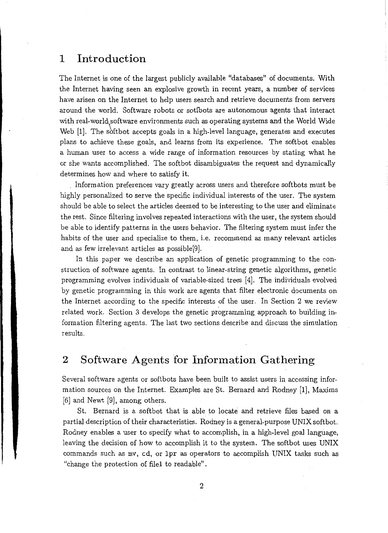#### **1 Introduction**

The Internet is one of the largest publicly available "databases" of documents. With the Internet having seen an explosive growth in recent years, a number of services have arisen on the Internet to help users search and retrieve documents from servers around the world. Software robots or sotfbots are autonomous agents that interact with real-world software environments such as operating systems and the World Wide Web [1]. The softbot accepts goals in a high-level language, generates and executes plans to achieve these goals, and learns from its experience. The softbot enables a human user to access a wide range of information resources by stating what he or she wants accomplished. The softbot disambiguates the request and dynamically determines how and where to satisfy it.

. Information preferences vary greatly across users and therefore softbots must be highly personalized to serve the specific individual interests of the user. The system should be able to select the articles deemed to be interesting to the user and eliminate the rest. Since filtering involves repeated interactions with the user, the system should be able to identify patterns in the users behavior. The filtering system must infer the habits of the user and specialize to them, i.e. recommend as many relevant articles and as few irrelevant articles as possible[9].

In this paper we describe an application of genetic programming to the construction of software agents. In contrast to linear-string genetic algorithms, genetic programming evolves individuals of variable-sized trees (4]. The individuals evolved by genetic programming in this work are agents that filter electronic documents on the Internet according to the specific interests of the user. In Section 2 we review related work. Section 3 develops the genetic programming approach to building information filtering agents. The last two sections describe and discuss the simulation results.

### 2 Software Agents for Information Gathering

Several software agents or softbots have been built to assist users in accessing information sources on the Internet. Examples are St. Bernard and Rodney [1], Maxims [6] and Newt [9], among others.

St. Bernard is a softbot that is able to locate and retrieve files based on a partial description of their characteristics. Rodney is a general-purpose UNIX softbot. Rodney enables a user to specify what to accomplish, in a high-level goal language, leaving the decision of how to accomplish it to the system. The softbot uses UNIX commands such as mv, cd, or lpr as operators to accomplish UNIX tasks such as "change the protection of filel to readable".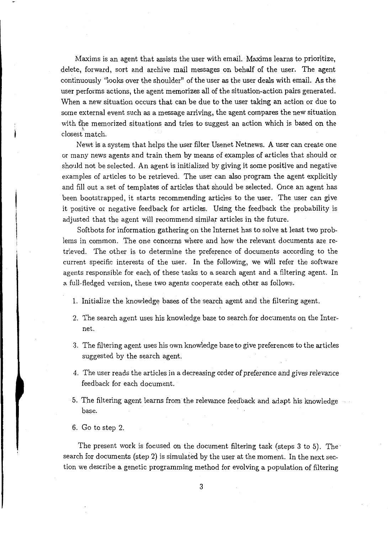Maxims is an agent that assists the user with email. Maxims learns to prioritize, delete, forward, sort and archive mail messages on behalf of the user. The agent continuously "looks over the shoulder" of the user as the user deals with email. As the user performs actions, the agent memorizes all of the situation-action pairs generated. When a new situation occurs that can be due to the user taking an action or due to some external event such as a message arriving, the agent compares the new situation with the memorized situations and tries to suggest an action which is based on the closest match.

Newt is a system that helps the user filter Usenet Netnews. A user can create one or many news agents and train them by means of examples of articles that should or should not be selected. An agent is initialized by giving it some positive and negative examples of articles to be retrieved. The user can also program the agent explicitly and fill out a set of templates of articles that should be selected. Once an agent has been bootstrapped, it starts recommending articles to the user. The user can give it positive or negative feedback for articles. Using the feedback the probability is adjusted that the agent will recommend similar articles in the future.

Softbots for information gathering on the Internet has to solve at least two problems in common. The one concerns where and how the relevant documents are retrieved. The other is to determine the preference of documents according to the current specific interests of the user. In the following, we will refer the software agents responsible for each of these tasks to a search agent and a filtering agent. In a full-fledged version, these two agents cooperate each other as follows.

- 1. Initialize the knowledge bases of the search agent and the filtering agent.
- 2. The search agent uses his knowledge base to search for documents on the Internet.
- 3. The filtering agent uses his own knowledge base to give preferences to the articles suggested by the search agent.
- 4. The user reads the articles in a decreasing order of preference and *gives* relevance feedback for each document.
- 5. The filtering agent learns from the relevance feedback and adapt his knowledge base.
- 6. Go to step 2.

The present work is focused on the document filtering task (steps 3 to 5). Thesearch for documents (step 2) is simulated by the user at the moment. In the next section we describe a genetic programming method for evolving a population of filtering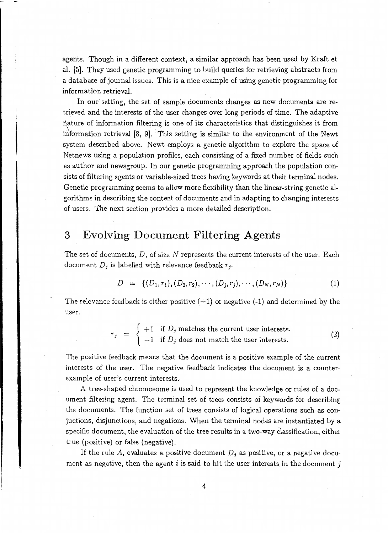agents. Though in a different context, a similar approach has been used by Kraft et al. [5]. They used genetic programming to build queries for retrieving abstracts from a database of journal issues. This is a nice example of using genetic programming for information retrieval.

In our setting, the set of sample documents changes as new documents are retrieved and the interests of the user changes over long periods of time. The adaptive rature of information filtering is one of its characteristics that distinguishes it from information retrieval [8, 9]. This setting is similar to the environment of the Newt system described above. Newt employs a genetic algorithm to explore the space of Netnews using a population profiles, each consisting of a fixed number of fields such as author and newsgroup. In our genetic programming approach the population consists of filtering agents or variable-sized trees having keywords at their terminal nodes. Genetic programming seems to allow more flexibility than the linear-string geneticalgorithms in describing the content of documents and in adapting to changing interests of users. The next section provides a more detailed description.

#### **3 Evolving Document Filtering Agents**

The set of documents,  $D$ , of size N represents the current interests of the user. Each document  $D_j$  is labelled with relevance feedback  $r_j$ .

$$
D = \{(D_1, r_1), (D_2, r_2), \cdots, (D_j, r_j), \cdots, (D_N, r_N)\}\
$$
 (1)

The relevance feedback is either positive  $(+1)$  or negative  $(-1)$  and determined by the user.

$$
r_j = \begin{cases} +1 & \text{if } D_j \text{ matches the current user interests.} \\ -1 & \text{if } D_j \text{ does not match the user interests.} \end{cases}
$$
 (2)

The positive feedback means that the document is a positive example of the current interests of the user. The negative feedback indicates the document is a counterexample of user's current interests.

A tree-shaped chromosome is used to represent the knowledge or rules of a document filtering agent. The terminal set of trees consists of keywords for describing the documents. The function set of trees consists of logical operations such as conjuctions, disjunctions, and negations. When the terminal nodes are instantiated by a specific document, the evaluation of the tree results in a two-way classification, either true (positive) or false (negative).

If the rule  $A_i$  evaluates a positive document  $D_j$  as positive, or a negative document as negative, then the agent i is said to hit the user interests in the document j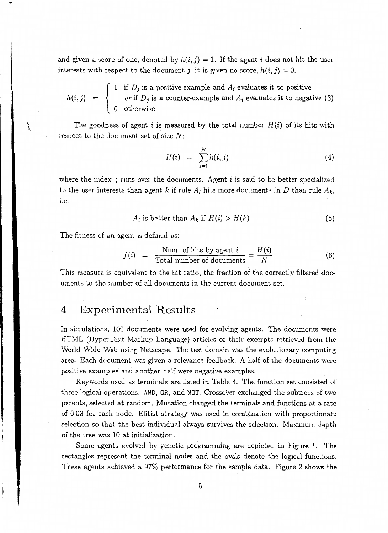and given a score of one, denoted by  $h(i, j) = 1$ . If the agent i does not hit the user interests with respect to the document j, it is given no score,  $h(i, j) = 0$ .

 $\mathbf{I}$ 1 if *Dj* is a positive example and *Ai* evaluates it to positive  $h(i,j) = \begin{cases} \text{or if } D_j \text{ is a counter-example and } A_i \text{ evaluates it to negative (3)} \end{cases}$ 0 otherwise

The goodness of agent *i* is measured by the total number  $H(i)$  of its hits with respect to the document set of size N:

$$
H(i) = \sum_{j=1}^{N} h(i, j) \tag{4}
$$

where the index j runs over the documents. Agent i is said to be better specialized to the user interests than agent k if rule  $A_i$  hits more documents in *D* than rule  $A_k$ , i.e.

$$
A_i \text{ is better than } A_k \text{ if } H(i) > H(k) \tag{5}
$$

The fitness of an agent is defined as:

 $\overline{\mathcal{M}}$ 

$$
f(i) = \frac{\text{Num. of hits by agent } i}{\text{Total number of documents}} = \frac{H(i)}{N}
$$
(6)

This measure is equivalent to the hit ratio, the fraction of the correctly filtered documents to the number of all documents in the current document set.

### 4 **Experimental Results**

In simulations, 100 documents were used for evolving agents. The documents were HTML (HyperText Markup Language) articles or their excerpts retrieved from the World Wide Web using Netscape. The test domain was the evolutionary computing area. Each document was given a relevance feedback. A half of the documents were positive examples and another half were negative examples.

Keywords used as terminals are listed in Table 4. The function set consisted of three logical operations: AND, OR, and NOT. Crossover exchanged the subtrees of two parents, selected at random. Mutation changed the terminals and functions at a rate of 0.03 for each node. Elitist strategy was used in combination with proportionate selection so that the best individual always survives the selection. Maximum depth of the tree was 10 at initialization.

Some agents evolved by genetic programming are depicted in Figure 1. The rectangles represent the terminal nodes and the ovals denote the logical functions. These agents achieved a 97% performance for the sample data. Figure 2 shows the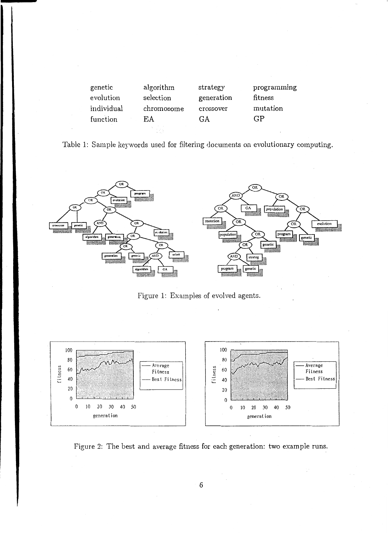| genetic    | algorithm  | strategy   | programming |
|------------|------------|------------|-------------|
| evolution  | selection  | generation | fitness     |
| individual | chromosome | crossover  | mutation    |
| function   | ЕA         | GΑ         | GP          |
|            |            |            |             |

Table 1: Sample keywords used for filtering documents on evolutionary computing.



Figure 1: Examples of evolved agents.



Figure 2: The best and average fitness for each generation: two example runs.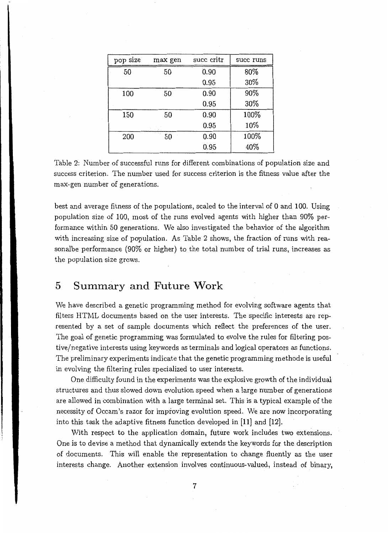| pop size | max gen      | succ critr | succ runs |
|----------|--------------|------------|-----------|
| 50       | 50           | 0.90       | 80%       |
|          |              | 0.95       | 30%       |
| 100      | 50           | 0.90       | 90%       |
|          |              | 0.95       | 30%       |
| 150      | 50           | 0.90       | 100%      |
|          |              | 0.95       | 10%       |
| 200      | ALC: Y<br>50 | 0.90       | 100%      |
|          |              | 0.95       | 40%       |

Table 2: Number of successful runs for different combinations of population size and success criterion. The number used for success criterion is the fitness value after the max-gen number of generations.

best and average fitness of the populations, scaled to the interval of 0 and 100. Using population size of 100, most of the runs evolved agents with higher than 90% performance within 50 generations. We also investigated the behavior of the algorithm with increasing size of population. As Table 2 shows, the fraction of runs with reasonalbe performance (90% or higher) to the total number of trial runs, increases as the population size grows.

#### **5 Summary and Future Work**

We have described a genetic programming method for evolving software agents that filters HTML documents based on the user interests. The specific interests are represented by a set of sample documents which reflect the preferences of the user. The goal of genetic programming was formulated to evolve the rules for filtering postive/negative interests using keywords as terminals and logical operators as functions. The preliminary experiments indicate that the genetic programming methode is useful in evolving the filtering rules specialized to user interests.

One difficulty found in the experiments was the explosive growth of the individual structures and thus slowed down evolution speed when a large number of generations are allowed in combination with a large terminal set. This is a typical example of the necessity of Occam's razor for improving evolution speed. We are now incorporating into this task the adaptive fitness function developed in [11] and [12).

With respect to the application domain, future work includes two extensions. One is to devise a method that dynamically extends the keywords for the description of documents. This will enable the representation to change fluently as the user interests change. Another extension involves continuous-valued, instead of binary,